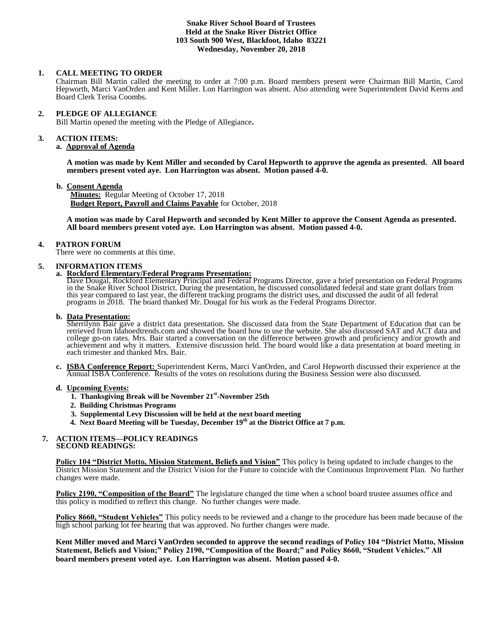## **Snake River School Board of Trustees Held at the Snake River District Office 103 South 900 West, Blackfoot, Idaho 83221 Wednesday, November 20, 2018**

## **1. CALL MEETING TO ORDER**

Chairman Bill Martin called the meeting to order at 7:00 p.m. Board members present were Chairman Bill Martin, Carol Hepworth, Marci VanOrden and Kent Miller. Lon Harrington was absent. Also attending were Superintendent David Kerns and Board Clerk Terisa Coombs.

#### **2. PLEDGE OF ALLEGIANCE**

Bill Martin opened the meeting with the Pledge of Allegiance**.** 

#### **3. ACTION ITEMS:**

#### **a. Approval of Agenda**

**A motion was made by Kent Miller and seconded by Carol Hepworth to approve the agenda as presented. All board members present voted aye. Lon Harrington was absent. Motion passed 4-0.**

#### **b. Consent Agenda**

**Minutes:** Regular Meeting of October 17, 2018 **Budget Report, Payroll and Claims Payable** for October, 2018

**A motion was made by Carol Hepworth and seconded by Kent Miller to approve the Consent Agenda as presented. All board members present voted aye. Lon Harrington was absent. Motion passed 4-0.** 

#### **4. PATRON FORUM**

There were no comments at this time.

## **5. INFORMATION ITEMS**

## **a. Rockford Elementary/Federal Programs Presentation:**

Dave Dougal, Rockford Elementary Principal and Federal Programs Director, gave a brief presentation on Federal Programs in the Snake River School District. During the presentation, he discussed consolidated federal and state grant dollars from this year compared to last year, the different tracking programs the district uses, and discussed the audit of all federal programs in 2018. The board thanked Mr. Dougal for his work as the Federal Programs Director.

## **b. Data Presentation:**

Sherrilynn Bair gave a district data presentation. She discussed data from the State Department of Education that can be retrieved from Idahoedtrends.com and showed the board how to use the website. She also discussed SAT and ACT data and college go-on rates. Mrs. Bair started a conversation on the difference between growth and proficiency and/or growth and achievement and why it matters. Extensive discussion held. The board would like a data presentation at board meeting in each trimester and thanked Mrs. Bair.

**c. ISBA Conference Report:** Superintendent Kerns, Marci VanOrden, and Carol Hepworth discussed their experience at the Annual ISBA Conference. Results of the votes on resolutions during the Business Session were also discussed.

#### **d. Upcoming Events:**

- **1. Thanksgiving Break will be November 21<sup>st</sup>-November 25th** 
	- **2. Building Christmas Programs**
	- **3. Supplemental Levy Discussion will be held at the next board meeting**
	- **4. Next Board Meeting will be Tuesday, December 19th at the District Office at 7 p.m.**

#### **7. ACTION ITEMS—POLICY READINGS SECOND READINGS:**

**Policy 104 "District Motto, Mission Statement, Beliefs and Vision"** This policy is being updated to include changes to the District Mission Statement and the District Vision for the Future to coincide with the Continuous Improvement Plan. No further changes were made.

**Policy 2190, "Composition of the Board"** The legislature changed the time when a school board trustee assumes office and this policy is modified to reflect this change. No further changes were made.

**Policy 8660, "Student Vehicles"** This policy needs to be reviewed and a change to the procedure has been made because of the high school parking lot fee hearing that was approved. No further changes were made.

**Kent Miller moved and Marci VanOrden seconded to approve the second readings of Policy 104 "District Motto, Mission Statement, Beliefs and Vision;" Policy 2190, "Composition of the Board;" and Policy 8660, "Student Vehicles." All board members present voted aye. Lon Harrington was absent. Motion passed 4-0.**